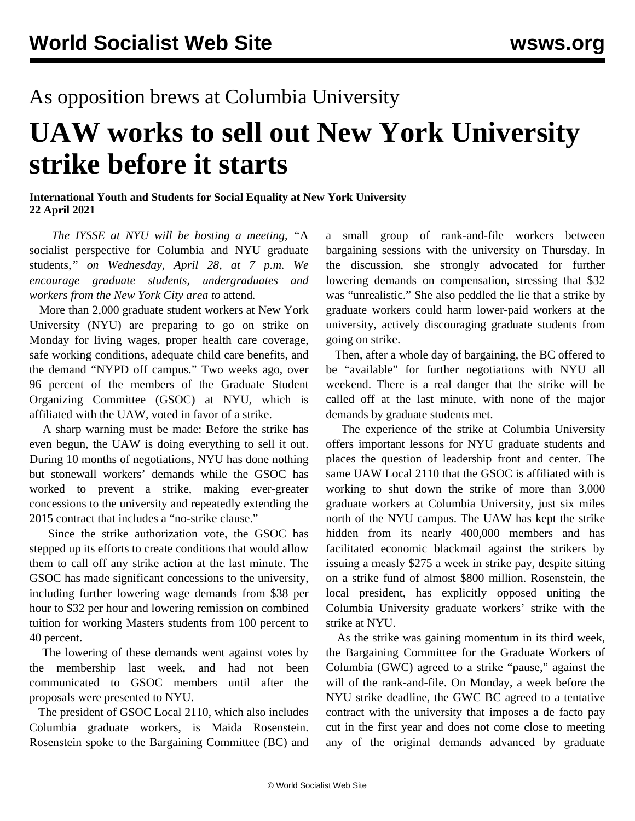## As opposition brews at Columbia University

## **UAW works to sell out New York University strike before it starts**

**International Youth and Students for Social Equality at New York University 22 April 2021**

 *The IYSSE at NYU will be hosting a meeting, "*[A](https://attendee.gotowebinar.com/register/4689915585705249805) [socialist perspective for Columbia and NYU graduate](https://attendee.gotowebinar.com/register/4689915585705249805) [students](https://attendee.gotowebinar.com/register/4689915585705249805),*" on Wednesday, April 28, at 7 p.m. We encourage graduate students, undergraduates and workers from the New York City area to* [attend](https://attendee.gotowebinar.com/register/4689915585705249805)*.*

 More than 2,000 graduate student workers at New York University (NYU) are preparing to go on strike on Monday for living wages, proper health care coverage, safe working conditions, adequate child care benefits, and the demand "NYPD off campus." Two weeks ago, over 96 percent of the members of the Graduate Student Organizing Committee (GSOC) at NYU, which is affiliated with the UAW, voted in favor of a strike.

 A sharp warning must be made: Before the strike has even begun, the UAW is doing everything to sell it out. During 10 months of negotiations, NYU has done nothing but stonewall workers' demands while the GSOC has worked to prevent a strike, making ever-greater concessions to the university and repeatedly extending the 2015 contract that includes a "no-strike clause."

 Since the strike authorization vote, the GSOC has stepped up its efforts to create conditions that would allow them to call off any strike action at the last minute. The GSOC has made significant concessions to the university, including further lowering wage demands from \$38 per hour to \$32 per hour and lowering remission on combined tuition for working Masters students from 100 percent to 40 percent.

 The lowering of these demands went against votes by the membership last week, and had not been communicated to GSOC members until after the proposals were presented to NYU.

 The president of GSOC Local 2110, which also includes Columbia graduate workers, is Maida Rosenstein. Rosenstein spoke to the Bargaining Committee (BC) and a small group of rank-and-file workers between bargaining sessions with the university on Thursday. In the discussion, she strongly advocated for further lowering demands on compensation, stressing that \$32 was "unrealistic." She also peddled the lie that a strike by graduate workers could harm lower-paid workers at the university, actively discouraging graduate students from going on strike.

 Then, after a whole day of bargaining, the BC offered to be "available" for further negotiations with NYU all weekend. There is a real danger that the strike will be called off at the last minute, with none of the major demands by graduate students met.

 The experience of the strike at Columbia University offers important lessons for NYU graduate students and places the question of leadership front and center. The same UAW Local 2110 that the GSOC is affiliated with is working to shut down the strike of more than 3,000 graduate workers at Columbia University, just six miles north of the NYU campus. The UAW has kept the strike hidden from its nearly 400,000 members and has facilitated economic blackmail against the strikers by issuing a [measly \\$275 a week in strike pay](/en/articles/2021/04/03/colu-a03.html), despite sitting on a strike fund of almost \$800 million. Rosenstein, the local president, has explicitly opposed uniting the Columbia University graduate workers' strike with the strike at NYU.

 As the strike was gaining momentum in its third week, the Bargaining Committee for the Graduate Workers of Columbia (GWC) agreed to a strike "pause," against the will of the rank-and-file. On Monday, a week before the NYU strike deadline, the GWC BC agreed to a tentative contract with the university that imposes a de facto pay cut in the first year and does not come close to meeting any of the original demands advanced by graduate